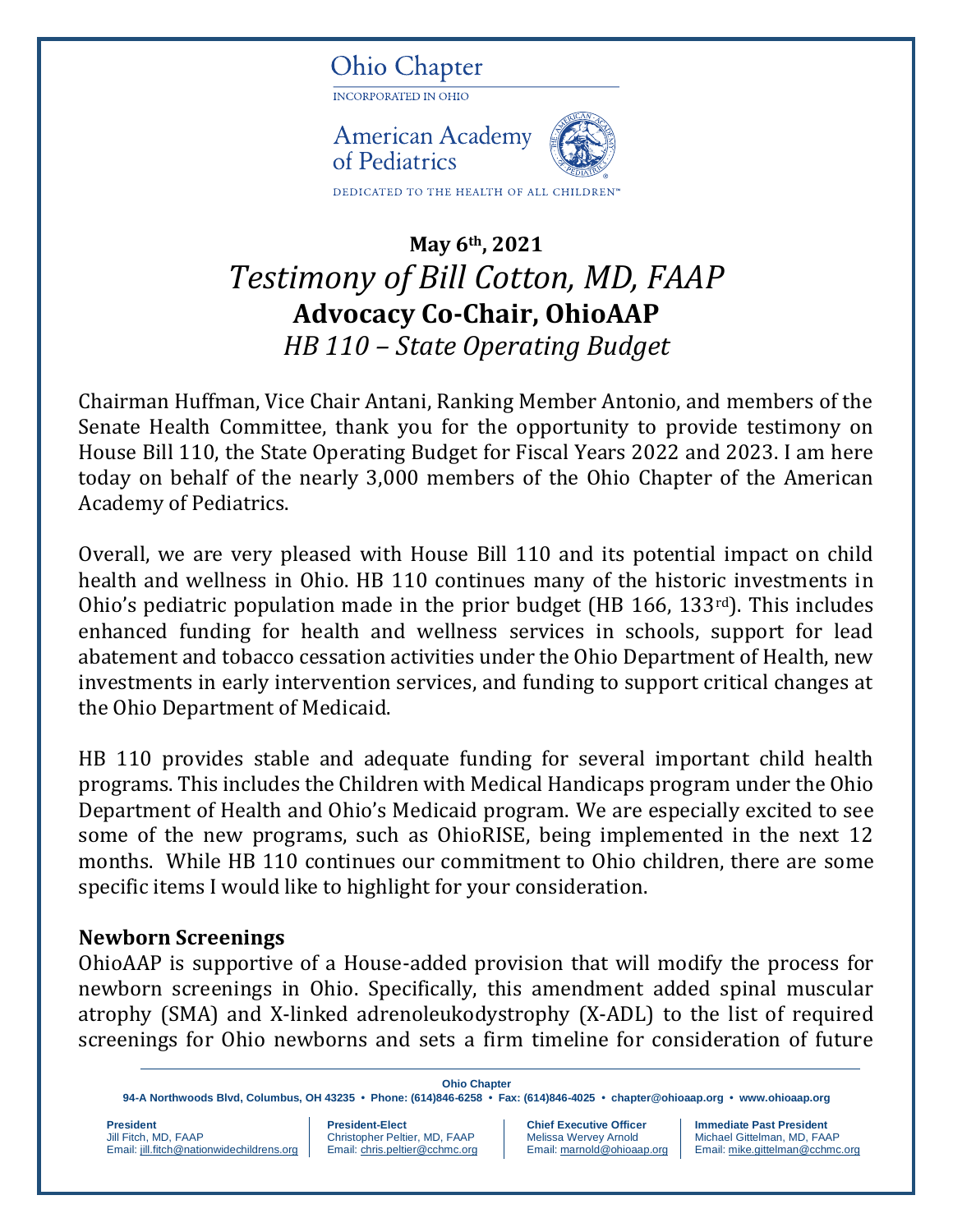

# **May 6th, 2021** *Testimony of Bill Cotton, MD, FAAP* **Advocacy Co-Chair, OhioAAP** *HB 110 – State Operating Budget*

Chairman Huffman, Vice Chair Antani, Ranking Member Antonio, and members of the Senate Health Committee, thank you for the opportunity to provide testimony on House Bill 110, the State Operating Budget for Fiscal Years 2022 and 2023. I am here today on behalf of the nearly 3,000 members of the Ohio Chapter of the American Academy of Pediatrics.

Overall, we are very pleased with House Bill 110 and its potential impact on child health and wellness in Ohio. HB 110 continues many of the historic investments in Ohio's pediatric population made in the prior budget (HB 166, 133rd). This includes enhanced funding for health and wellness services in schools, support for lead abatement and tobacco cessation activities under the Ohio Department of Health, new investments in early intervention services, and funding to support critical changes at the Ohio Department of Medicaid.

HB 110 provides stable and adequate funding for several important child health programs. This includes the Children with Medical Handicaps program under the Ohio Department of Health and Ohio's Medicaid program. We are especially excited to see some of the new programs, such as OhioRISE, being implemented in the next 12 months. While HB 110 continues our commitment to Ohio children, there are some specific items I would like to highlight for your consideration.

#### **Newborn Screenings**

OhioAAP is supportive of a House-added provision that will modify the process for newborn screenings in Ohio. Specifically, this amendment added spinal muscular atrophy (SMA) and X-linked adrenoleukodystrophy (X-ADL) to the list of required screenings for Ohio newborns and sets a firm timeline for consideration of future

**Ohio Chapter 94-A Northwoods Blvd, Columbus, OH 43235 • Phone: (614)846-6258 • Fax: (614)846-4025 • [chapter@ohioaap.org](mailto:chapter@ohioaap.org) • [www.ohioaap.org](http://www.ohioaap.org/) President President President-Elect Chief Executive Officer | Immediate Past President** Christopher Peltier, MD, FAAP Melissa Wervey Arnold Michael Gittelman, MD, FAA

Email[: jill.fitch@nationwidechildrens.org](mailto:jill.fitch@nationwidechildrens.orgC) | Email[: chris.peltier@cchmc.org](mailto:chris.peltier@cchmc.org) | Email[: marnold@ohioaap.org](mailto:marnold@ohioaap.org) | Email[: mike.gittelman@cchmc.org](mailto:mike.gittelman@cchmc.org)

Michael Gittelman, MD, FAAP